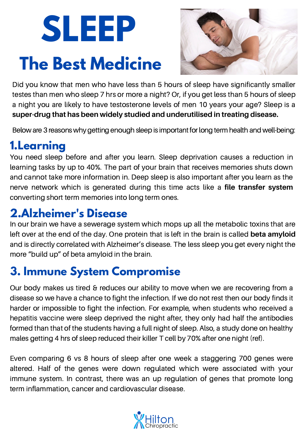# **SLEEP The Best Medicine**



Did you know that men who have less than 5 hours of sleep have significantly smaller testes than men who sleep 7 hrs or more a night? Or, if you get less than 5 hours of sleep a night you are likely to have testosterone levels of men 10 years your age? Sleep is a **super-drug that has been widely studied and underutilised in treating disease.**

Below are 3 reasons why getting enough sleep is important for long term health and well-being:

# **1.Learning**

You need sleep before and after you learn. Sleep deprivation causes a reduction in learning tasks by up to 40%. The part of your brain that receives memories shuts down and cannot take more information in. Deep sleep is also important after you learn as the nerve network which is generated during this time acts like a **file transfer system** converting short term memories into long term ones.

### **2.Alzheimer's Disease**

In our brain we have a sewerage system which mops up all the metabolic toxins that are left over at the end of the day. One protein that is left in the brain is called **beta amyloid** and is directly correlated with Alzheimer's disease. The less sleep you get every night the more "build up" of beta amyloid in the brain.

# **3. Immune System Compromise**

Our body makes us tired & reduces our ability to move when we are recovering from a disease so we have a chance to fight the infection. If we do not rest then our body finds it harder or impossible to fight the infection. For example, when students who received a hepatitis vaccine were sleep deprived the night after, they only had half the antibodies formed than that of the students having a full night of sleep. Also, a study done on healthy males getting 4 hrs of sleep reduced their killer T cell by 70% after one night (ref).

Even comparing 6 vs 8 hours of sleep after one week a staggering 700 genes were altered. Half of the genes were down regulated which were associated with your immune system. In contrast, there was an up regulation of genes that promote long term inflammation, cancer and cardiovascular disease.